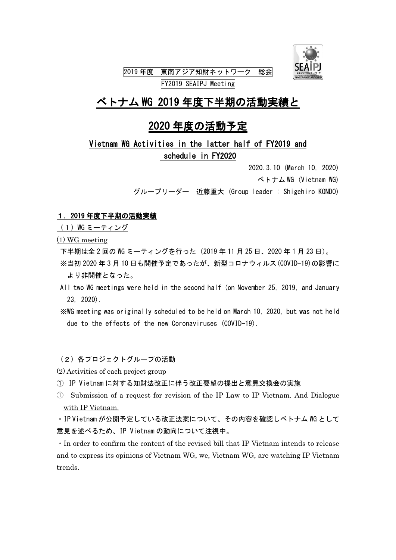

# ベトナム WG 2019 年度下半期の活動実績と

## 2020 年度の活動予定

### Vietnam WG Activities in the latter half of FY2019 and schedule in FY2020

|                                               |  | 2020. 3.10 (March 10, 2020) |                      |  |
|-----------------------------------------------|--|-----------------------------|----------------------|--|
|                                               |  |                             | ベトナム WG (Vietnam WG) |  |
| グループリーダー 近藤重大(Group leader : Shigehiro KONDO) |  |                             |                      |  |

#### 1.2019 年度下半期の活動実績

(1) WG ミーティング

(1) WG meeting

下半期は全 2 回の WG ミーティングを行った(2019 年 11 月 25 日、2020 年 1 月 23 日)。

- ※当初 2020 年 3 月 10 日も開催予定であったが、新型コロナウィルス(COVID-19)の影響に より非開催となった。
- All two WG meetings were held in the second half (on November 25, 2019, and January 23, 2020).
- ※WG meeting was originally scheduled to be held on March 10, 2020, but was not held due to the effects of the new Coronaviruses (COVID-19).

(2)各プロジェクトグループの活動

- (2) Activities of each project group
- ① IP Vietnam に対する知財法改正に伴う改正要望の提出と意見交換会の実施
- ① Submission of a request for revision of the IP Law to IP Vietnam. And Dialogue with IP Vietnam.

・IP Vietnam が公開予定している改正法案について、その内容を確認しベトナム WG として 意見を述べるため、IP Vietnam の動向について注視中。

・In order to confirm the content of the revised bill that IP Vietnam intends to release and to express its opinions of Vietnam WG, we, Vietnam WG, are watching IP Vietnam trends.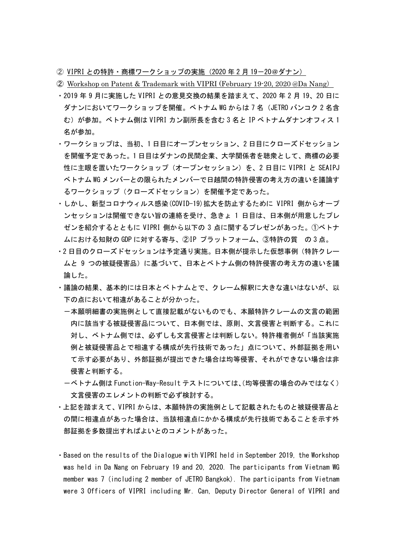- ② VIPRI との特許・商標ワークショップの実施(2020 年 2 月 19-20@ダナン)
- ② Workshop on Patent & Trademark with VIPRI (February 19-20, 2020 @Da Nang)
- ・2019 年 9 月に実施した VIPRI との意見交換の結果を踏まえて、2020 年 2 月 19、20 日に ダナンにおいてワークショップを開催。ベトナム WG からは 7 名(JETRO バンコク 2 名含 む)が参加。ベトナム側は VIPRI カン副所長を含む 3 名と IP ベトナムダナンオフィス 1 名が参加。
- ・ワークショップは、当初、1 日目にオープンセッション、2 日目にクローズドセッション を開催予定であった。1 日目はダナンの民間企業、大学関係者を聴衆として、商標の必要 性に主眼を置いたワークショップ(オープンセッション)を、2 日目に VIPRI と SEAIPJ ベトナム WG メンバーとの限られたメンバーで日越間の特許侵害の考え方の違いを議論す るワークショップ(クローズドセッション)を開催予定であった。
- ・しかし、新型コロナウィルス感染(COVID-19)拡大を防止するために VIPRI 側からオープ ンセッションは開催できない旨の連絡を受け、急きょ 1 日目は、日本側が用意したプレ ゼンを紹介するとともに VIPRI 側から以下の 3 点に関するプレゼンがあった。①ベトナ ムにおける知財の GDP に対する寄与、②IP プラットフォーム、③特許の質 の 3 点。
- ・2 日目のクローズドセッションは予定通り実施。日本側が提示した仮想事例(特許クレー ムと 9 つの被疑侵害品)に基づいて、日本とベトナム側の特許侵害の考え方の違いを議 論した。
- ・議論の結果、基本的には日本とベトナムとで、クレーム解釈に大きな違いはないが、以 下の点において相違があることが分かった。
	- -本願明細書の実施例として直接記載がないものでも、本願特許クレームの文言の範囲 内に該当する被疑侵害品について、日本側では、原則、文言侵害と判断する。これに 対し、ベトナム側では、必ずしも文言侵害とは判断しない。特許権者側が「当該実施 例と被疑侵害品とで相違する構成が先行技術であった」点について、外部証拠を用い て示す必要があり、外部証拠が提出できた場合は均等侵害、それができない場合は非 侵害と判断する。
	- -ベトナム側は Function-Way-Result テストについては、(均等侵害の場合のみではなく) 文言侵害のエレメントの判断で必ず検討する。
- ・上記を踏まえて、VIPRI からは、本願特許の実施例として記載されたものと被疑侵害品と の間に相違点があった場合は、当該相違点にかかる構成が先行技術であることを示す外 部証拠を多数提出すればよいとのコメントがあった。
- ・Based on the results of the Dialogue with VIPRI held in September 2019, the Workshop was held in Da Nang on February 19 and 20, 2020. The participants from Vietnam WG member was 7 (including 2 member of JETRO Bangkok). The participants from Vietnam were 3 Officers of VIPRI including Mr. Can, Deputy Director General of VIPRI and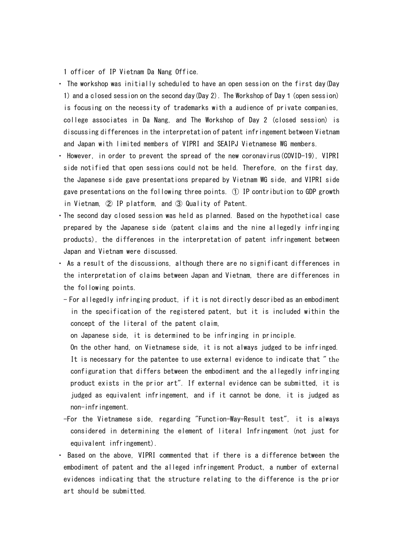1 officer of IP Vietnam Da Nang Office.

- ・ The workshop was initially scheduled to have an open session on the first day(Day 1) and a closed session on the second day(Day 2). The Workshop of Day1(open session) is focusing on the necessity of trademarks with a audience of private companies, college associates in Da Nang, and The Workshop of Day 2 (closed session) is discussing differences in the interpretation of patent infringement between Vietnam and Japan with limited members of VIPRI and SEAIPJ Vietnamese WG members.
- ・ However, in order to prevent the spread of the new coronavirus(COVID-19), VIPRI side notified that open sessions could not be held. Therefore, on the first day, the Japanese side gave presentations prepared by Vietnam WG side, and VIPRI side gave presentations on the following three points. ① IP contribution to GDP growth in Vietnam, ② IP platform, and ③ Quality of Patent.
- ・The second day closed session was held as planned. Based on the hypothetical case prepared by the Japanese side (patent claims and the nine allegedly infringing products), the differences in the interpretation of patent infringement between Japan and Vietnam were discussed.
- ・ As a result of the discussions, although there are no significant differences in the interpretation of claims between Japan and Vietnam, there are differences in the following points.
	- For allegedly infringing product, if it is not directly described as an embodiment in the specification of the registered patent, but it is included within the concept of the literal of the patent claim,
		- on Japanese side, it is determined to be infringing in principle.
		- On the other hand, on Vietnamese side, it is not always judged to be infringed.

It is necessary for the patentee to use external evidence to indicate that " the configuration that differs between the embodiment and the allegedly infringing product exists in the prior art". If external evidence can be submitted, it is judged as equivalent infringement, and if it cannot be done, it is judged as non-infringement.

- -For the Vietnamese side, regarding "Function-Way-Result test", it is always considered in determining the element of literal Infringement (not just for equivalent infringement).
- ・ Based on the above, VIPRI commented that if there is a difference between the embodiment of patent and the alleged infringement Product, a number of external evidences indicating that the structure relating to the difference is the prior art should be submitted.